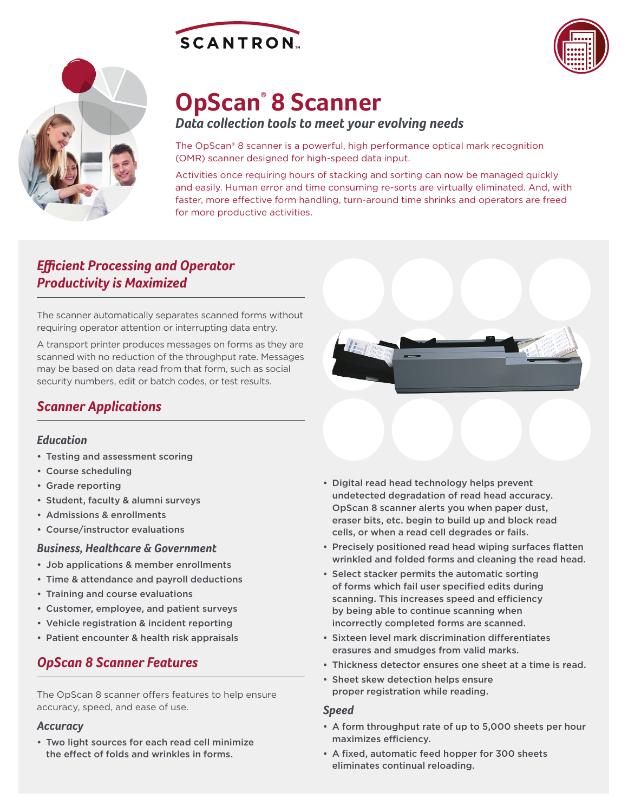





# **OpScan® 8 Scanner**

*Data collection tools to meet your evolving needs*

The OpScan® 8 scanner is a powerful, high performance optical mark recognition (OMR) scanner designed for high-speed data input.

Activities once requiring hours of stacking and sorting can now be managed quickly and easily. Human error and time consuming re-sorts are virtually eliminated. And, with faster, more effective form handling, turn-around time shrinks and operators are freed for more productive activities.

## *Efficient Processing and Operator Productivity is Maximized*

The scanner automatically separates scanned forms without requiring operator attention or interrupting data entry.

A transport printer produces messages on forms as they are scanned with no reduction of the throughput rate. Messages may be based on data read from that form, such as social security numbers, edit or batch codes, or test results.

## *Scanner Applications*

#### *Education*

- Testing and assessment scoring
- Course scheduling
- Grade reporting
- Student, faculty & alumni surveys
- Admissions & enrollments
- Course/instructor evaluations

#### *Business, Healthcare & Government*

- Job applications & member enrollments
- Time & attendance and payroll deductions
- Training and course evaluations
- Customer, employee, and patient surveys
- Vehicle registration & incident reporting
- Patient encounter & health risk appraisals

## *OpScan 8 Scanner Features*

The OpScan 8 scanner offers features to help ensure accuracy, speed, and ease of use.

#### *Accuracy*

• Two light sources for each read cell minimize the effect of folds and wrinkles in forms.



- Precisely positioned read head wiping surfaces flatten wrinkled and folded forms and cleaning the read head.
- Select stacker permits the automatic sorting of forms which fail user specified edits during scanning. This increases speed and efficiency by being able to continue scanning when incorrectly completed forms are scanned.
- Sixteen level mark discrimination differentiates erasures and smudges from valid marks.
- Thickness detector ensures one sheet at a time is read.
- Sheet skew detection helps ensure proper registration while reading.

#### *Speed*

- A form throughput rate of up to 5,000 sheets per hour maximizes efficiency.
- A fixed, automatic feed hopper for 300 sheets eliminates continual reloading.